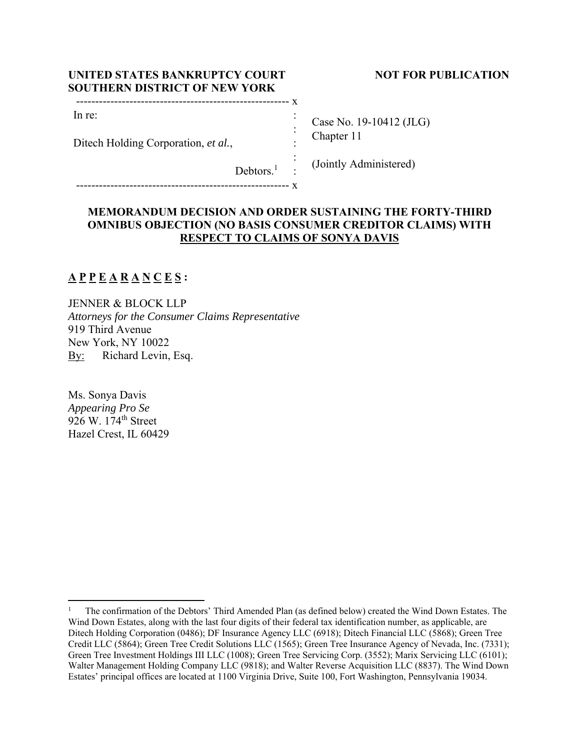| UNITED STATES BANKRUPTCY COURT       |
|--------------------------------------|
| <b>SOUTHERN DISTRICT OF NEW YORK</b> |
|                                      |

## **NOT FOR PUBLICATION**

| Case No. 19-10412 (JLG) |
|-------------------------|
| Chapter 11              |

Debtors.<sup>1</sup> :

-------------------------------------------------------- x

Ditech Holding Corporation, *et al.*,

# (Jointly Administered)

## **MEMORANDUM DECISION AND ORDER SUSTAINING THE FORTY-THIRD OMNIBUS OBJECTION (NO BASIS CONSUMER CREDITOR CLAIMS) WITH RESPECT TO CLAIMS OF SONYA DAVIS**

 : :  $\cdot$ : :

## **A P P E A R A N C E S :**

In re:

JENNER & BLOCK LLP *Attorneys for the Consumer Claims Representative*  919 Third Avenue New York, NY 10022 By: Richard Levin, Esq.

Ms. Sonya Davis *Appearing Pro Se*  926 W. 174<sup>th</sup> Street Hazel Crest, IL 60429

<sup>1</sup> The confirmation of the Debtors' Third Amended Plan (as defined below) created the Wind Down Estates. The Wind Down Estates, along with the last four digits of their federal tax identification number, as applicable, are Ditech Holding Corporation (0486); DF Insurance Agency LLC (6918); Ditech Financial LLC (5868); Green Tree Credit LLC (5864); Green Tree Credit Solutions LLC (1565); Green Tree Insurance Agency of Nevada, Inc. (7331); Green Tree Investment Holdings III LLC (1008); Green Tree Servicing Corp. (3552); Marix Servicing LLC (6101); Walter Management Holding Company LLC (9818); and Walter Reverse Acquisition LLC (8837). The Wind Down Estates' principal offices are located at 1100 Virginia Drive, Suite 100, Fort Washington, Pennsylvania 19034.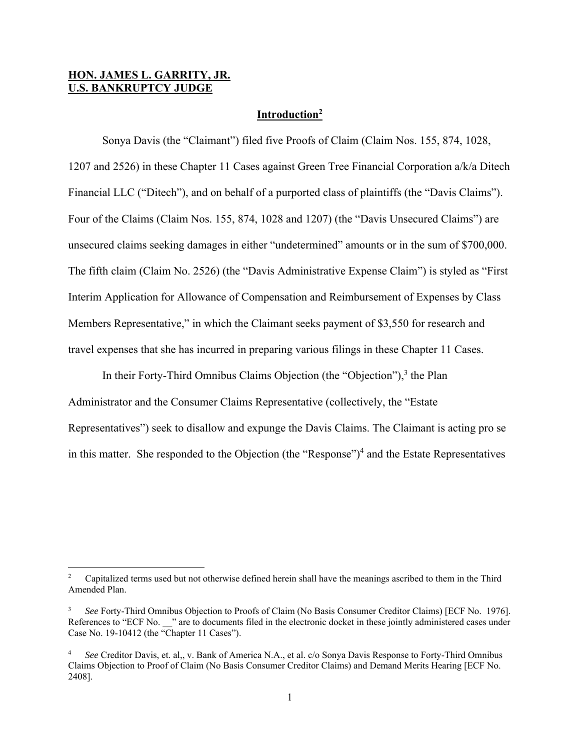## **HON. JAMES L. GARRITY, JR. U.S. BANKRUPTCY JUDGE**

#### **Introduction2**

 Sonya Davis (the "Claimant") filed five Proofs of Claim (Claim Nos. 155, 874, 1028, 1207 and 2526) in these Chapter 11 Cases against Green Tree Financial Corporation a/k/a Ditech Financial LLC ("Ditech"), and on behalf of a purported class of plaintiffs (the "Davis Claims"). Four of the Claims (Claim Nos. 155, 874, 1028 and 1207) (the "Davis Unsecured Claims") are unsecured claims seeking damages in either "undetermined" amounts or in the sum of \$700,000. The fifth claim (Claim No. 2526) (the "Davis Administrative Expense Claim") is styled as "First Interim Application for Allowance of Compensation and Reimbursement of Expenses by Class Members Representative," in which the Claimant seeks payment of \$3,550 for research and travel expenses that she has incurred in preparing various filings in these Chapter 11 Cases.

In their Forty-Third Omnibus Claims Objection (the "Objection"),<sup>3</sup> the Plan Administrator and the Consumer Claims Representative (collectively, the "Estate Representatives") seek to disallow and expunge the Davis Claims. The Claimant is acting pro se in this matter. She responded to the Objection (the "Response")<sup>4</sup> and the Estate Representatives

<sup>2</sup> Capitalized terms used but not otherwise defined herein shall have the meanings ascribed to them in the Third Amended Plan.

<sup>3</sup> *See* Forty-Third Omnibus Objection to Proofs of Claim (No Basis Consumer Creditor Claims) [ECF No. 1976]. References to "ECF No. \_\_\_" are to documents filed in the electronic docket in these jointly administered cases under Case No. 19-10412 (the "Chapter 11 Cases").

<sup>4</sup> *See* Creditor Davis, et. al,, v. Bank of America N.A., et al. c/o Sonya Davis Response to Forty-Third Omnibus Claims Objection to Proof of Claim (No Basis Consumer Creditor Claims) and Demand Merits Hearing [ECF No. 2408].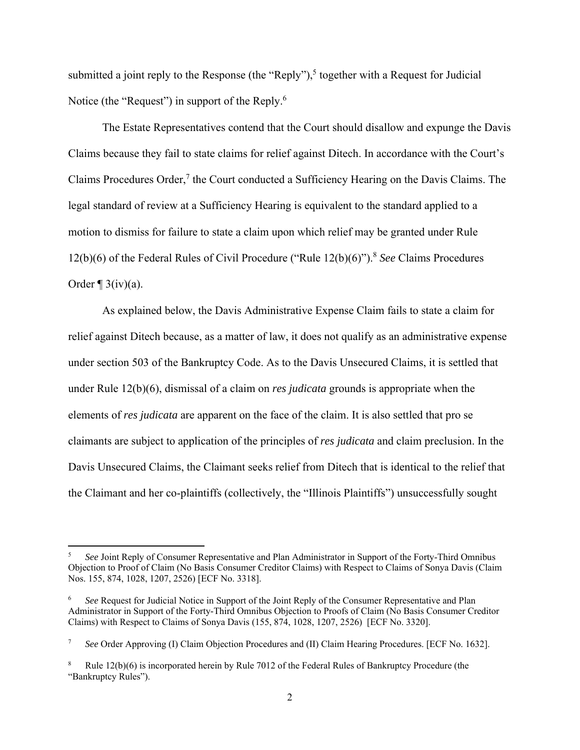submitted a joint reply to the Response (the "Reply"),<sup>5</sup> together with a Request for Judicial Notice (the "Request") in support of the Reply.<sup>6</sup>

 The Estate Representatives contend that the Court should disallow and expunge the Davis Claims because they fail to state claims for relief against Ditech. In accordance with the Court's Claims Procedures Order, $7$  the Court conducted a Sufficiency Hearing on the Davis Claims. The legal standard of review at a Sufficiency Hearing is equivalent to the standard applied to a motion to dismiss for failure to state a claim upon which relief may be granted under Rule 12(b)(6) of the Federal Rules of Civil Procedure ("Rule 12(b)(6)").8 *See* Claims Procedures Order  $\P$  3(iv)(a).

 As explained below, the Davis Administrative Expense Claim fails to state a claim for relief against Ditech because, as a matter of law, it does not qualify as an administrative expense under section 503 of the Bankruptcy Code. As to the Davis Unsecured Claims, it is settled that under Rule 12(b)(6), dismissal of a claim on *res judicata* grounds is appropriate when the elements of *res judicata* are apparent on the face of the claim. It is also settled that pro se claimants are subject to application of the principles of *res judicata* and claim preclusion. In the Davis Unsecured Claims, the Claimant seeks relief from Ditech that is identical to the relief that the Claimant and her co-plaintiffs (collectively, the "Illinois Plaintiffs") unsuccessfully sought

<sup>5</sup> *See* Joint Reply of Consumer Representative and Plan Administrator in Support of the Forty-Third Omnibus Objection to Proof of Claim (No Basis Consumer Creditor Claims) with Respect to Claims of Sonya Davis (Claim Nos. 155, 874, 1028, 1207, 2526) [ECF No. 3318].

<sup>6</sup> *See* Request for Judicial Notice in Support of the Joint Reply of the Consumer Representative and Plan Administrator in Support of the Forty-Third Omnibus Objection to Proofs of Claim (No Basis Consumer Creditor Claims) with Respect to Claims of Sonya Davis (155, 874, 1028, 1207, 2526) [ECF No. 3320].

<sup>7</sup> *See* Order Approving (I) Claim Objection Procedures and (II) Claim Hearing Procedures. [ECF No. 1632].

<sup>8</sup> Rule 12(b)(6) is incorporated herein by Rule 7012 of the Federal Rules of Bankruptcy Procedure (the "Bankruptcy Rules").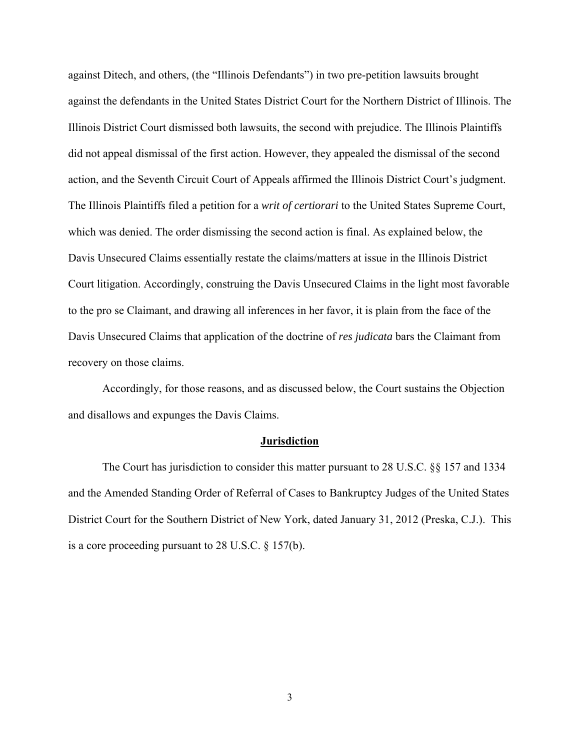against Ditech, and others, (the "Illinois Defendants") in two pre-petition lawsuits brought against the defendants in the United States District Court for the Northern District of Illinois. The Illinois District Court dismissed both lawsuits, the second with prejudice. The Illinois Plaintiffs did not appeal dismissal of the first action. However, they appealed the dismissal of the second action, and the Seventh Circuit Court of Appeals affirmed the Illinois District Court's judgment. The Illinois Plaintiffs filed a petition for a *writ of certiorari* to the United States Supreme Court, which was denied. The order dismissing the second action is final. As explained below, the Davis Unsecured Claims essentially restate the claims/matters at issue in the Illinois District Court litigation. Accordingly, construing the Davis Unsecured Claims in the light most favorable to the pro se Claimant, and drawing all inferences in her favor, it is plain from the face of the Davis Unsecured Claims that application of the doctrine of *res judicata* bars the Claimant from recovery on those claims.

 Accordingly, for those reasons, and as discussed below, the Court sustains the Objection and disallows and expunges the Davis Claims.

#### **Jurisdiction**

 The Court has jurisdiction to consider this matter pursuant to 28 U.S.C. §§ 157 and 1334 and the Amended Standing Order of Referral of Cases to Bankruptcy Judges of the United States District Court for the Southern District of New York, dated January 31, 2012 (Preska, C.J.). This is a core proceeding pursuant to 28 U.S.C. § 157(b).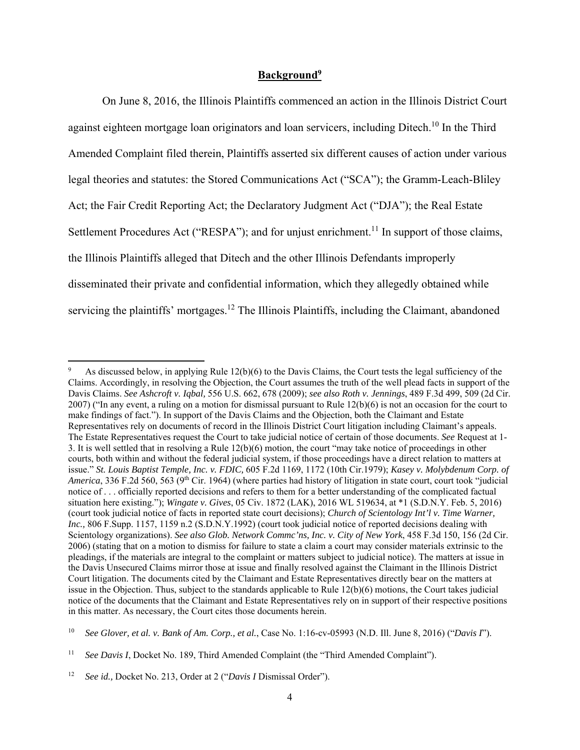#### **Background9**

 On June 8, 2016, the Illinois Plaintiffs commenced an action in the Illinois District Court against eighteen mortgage loan originators and loan servicers, including Ditech.<sup>10</sup> In the Third Amended Complaint filed therein, Plaintiffs asserted six different causes of action under various legal theories and statutes: the Stored Communications Act ("SCA"); the Gramm-Leach-Bliley Act; the Fair Credit Reporting Act; the Declaratory Judgment Act ("DJA"); the Real Estate Settlement Procedures Act ("RESPA"); and for unjust enrichment.<sup>11</sup> In support of those claims, the Illinois Plaintiffs alleged that Ditech and the other Illinois Defendants improperly disseminated their private and confidential information, which they allegedly obtained while servicing the plaintiffs' mortgages.<sup>12</sup> The Illinois Plaintiffs, including the Claimant, abandoned

<sup>9</sup> As discussed below, in applying Rule 12(b)(6) to the Davis Claims, the Court tests the legal sufficiency of the Claims. Accordingly, in resolving the Objection, the Court assumes the truth of the well plead facts in support of the Davis Claims. *See Ashcroft v. Iqbal,* 556 U.S. 662, 678 (2009); *see also Roth v. Jennings*, 489 F.3d 499, 509 (2d Cir. 2007) ("In any event, a ruling on a motion for dismissal pursuant to Rule 12(b)(6) is not an occasion for the court to make findings of fact."). In support of the Davis Claims and the Objection, both the Claimant and Estate Representatives rely on documents of record in the Illinois District Court litigation including Claimant's appeals. The Estate Representatives request the Court to take judicial notice of certain of those documents. *See* Request at 1- 3. It is well settled that in resolving a Rule 12(b)(6) motion, the court "may take notice of proceedings in other courts, both within and without the federal judicial system, if those proceedings have a direct relation to matters at issue." *St. Louis Baptist Temple, Inc. v. FDIC,* 605 F.2d 1169, 1172 (10th Cir.1979); *Kasey v. Molybdenum Corp. of America*, 336 F.2d 560, 563 (9<sup>th</sup> Cir. 1964) (where parties had history of litigation in state court, court took "judicial notice of . . . officially reported decisions and refers to them for a better understanding of the complicated factual situation here existing."); *Wingate v. Gives*, 05 Civ. 1872 (LAK), 2016 WL 519634, at \*1 (S.D.N.Y. Feb. 5, 2016) (court took judicial notice of facts in reported state court decisions); *Church of Scientology Int'l v. Time Warner, Inc.,* 806 F.Supp. 1157, 1159 n.2 (S.D.N.Y.1992) (court took judicial notice of reported decisions dealing with Scientology organizations). *See also Glob. Network Commc'ns, Inc. v. City of New York*, 458 F.3d 150, 156 (2d Cir. 2006) (stating that on a motion to dismiss for failure to state a claim a court may consider materials extrinsic to the pleadings, if the materials are integral to the complaint or matters subject to judicial notice). The matters at issue in the Davis Unsecured Claims mirror those at issue and finally resolved against the Claimant in the Illinois District Court litigation. The documents cited by the Claimant and Estate Representatives directly bear on the matters at issue in the Objection. Thus, subject to the standards applicable to Rule 12(b)(6) motions, the Court takes judicial notice of the documents that the Claimant and Estate Representatives rely on in support of their respective positions in this matter. As necessary, the Court cites those documents herein.

<sup>10</sup> *See Glover, et al. v. Bank of Am. Corp., et al.*, Case No. 1:16-cv-05993 (N.D. Ill. June 8, 2016) ("*Davis I*").

<sup>11</sup> *See Davis I*, Docket No. 189, Third Amended Complaint (the "Third Amended Complaint").

<sup>12</sup> *See id.,* Docket No. 213, Order at 2 ("*Davis I* Dismissal Order").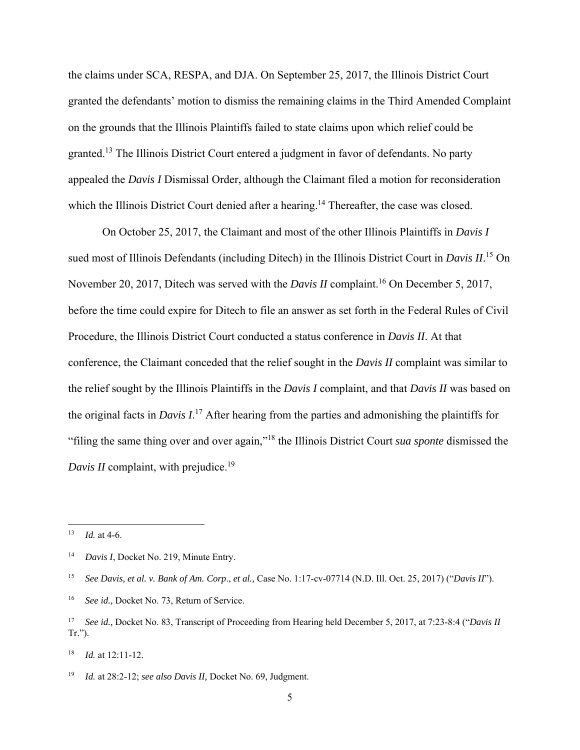the claims under SCA, RESPA, and DJA. On September 25, 2017, the Illinois District Court granted the defendants' motion to dismiss the remaining claims in the Third Amended Complaint on the grounds that the Illinois Plaintiffs failed to state claims upon which relief could be granted.13 The Illinois District Court entered a judgment in favor of defendants. No party appealed the *Davis I* Dismissal Order, although the Claimant filed a motion for reconsideration which the Illinois District Court denied after a hearing.<sup>14</sup> Thereafter, the case was closed.

 On October 25, 2017, the Claimant and most of the other Illinois Plaintiffs in *Davis I* sued most of Illinois Defendants (including Ditech) in the Illinois District Court in *Davis II*. 15 On November 20, 2017, Ditech was served with the *Davis II* complaint.<sup>16</sup> On December 5, 2017, before the time could expire for Ditech to file an answer as set forth in the Federal Rules of Civil Procedure, the Illinois District Court conducted a status conference in *Davis II*. At that conference, the Claimant conceded that the relief sought in the *Davis II* complaint was similar to the relief sought by the Illinois Plaintiffs in the *Davis I* complaint, and that *Davis II* was based on the original facts in *Davis I*. 17 After hearing from the parties and admonishing the plaintiffs for "filing the same thing over and over again,"18 the Illinois District Court *sua sponte* dismissed the *Davis II* complaint, with prejudice.<sup>19</sup>

 $13$  *Id.* at 4-6.

<sup>14</sup> *Davis I*, Docket No. 219, Minute Entry.

<sup>15</sup> *See Davis, et al. v. Bank of Am. Corp*., *et al.,* Case No. 1:17-cv-07714 (N.D. Ill. Oct. 25, 2017) ("*Davis II*").

<sup>&</sup>lt;sup>16</sup> *See id.*, Docket No. 73, Return of Service.

<sup>17</sup> *See id.,* Docket No. 83, Transcript of Proceeding from Hearing held December 5, 2017, at 7:23-8:4 ("*Davis II* Tr.").

<sup>18</sup> *Id.* at 12:11-12.

<sup>19</sup> *Id.* at 28:2-12; *see also Davis II,* Docket No. 69, Judgment.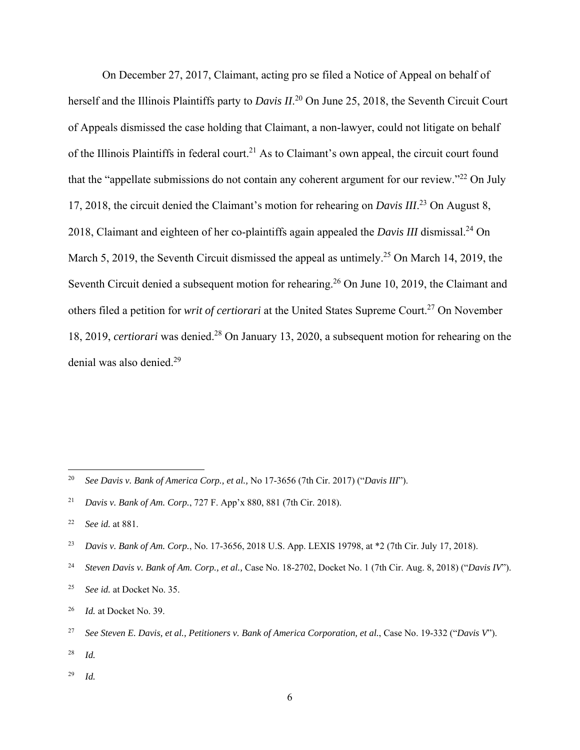On December 27, 2017, Claimant, acting pro se filed a Notice of Appeal on behalf of herself and the Illinois Plaintiffs party to *Davis II*. 20 On June 25, 2018, the Seventh Circuit Court of Appeals dismissed the case holding that Claimant, a non-lawyer, could not litigate on behalf of the Illinois Plaintiffs in federal court.<sup>21</sup> As to Claimant's own appeal, the circuit court found that the "appellate submissions do not contain any coherent argument for our review." $^{22}$  On July 17, 2018, the circuit denied the Claimant's motion for rehearing on *Davis III*. 23 On August 8, 2018, Claimant and eighteen of her co-plaintiffs again appealed the *Davis III* dismissal.24 On March 5, 2019, the Seventh Circuit dismissed the appeal as untimely.<sup>25</sup> On March 14, 2019, the Seventh Circuit denied a subsequent motion for rehearing.<sup>26</sup> On June 10, 2019, the Claimant and others filed a petition for *writ of certiorari* at the United States Supreme Court.<sup>27</sup> On November 18, 2019, *certiorari* was denied.28 On January 13, 2020, a subsequent motion for rehearing on the denial was also denied.29

- <sup>28</sup> *Id.*
- <sup>29</sup> *Id.*

<sup>20</sup> *See Davis v. Bank of America Corp., et al.,* No 17-3656 (7th Cir. 2017) ("*Davis III*").

<sup>21</sup> *Davis v. Bank of Am. Corp.*, 727 F. App'x 880, 881 (7th Cir. 2018).

<sup>22</sup> *See id.* at 881.

<sup>23</sup> *Davis v. Bank of Am. Corp.*, No. 17-3656, 2018 U.S. App. LEXIS 19798, at \*2 (7th Cir. July 17, 2018).

<sup>24</sup> *Steven Davis v. Bank of Am. Corp., et al.,* Case No. 18-2702, Docket No. 1 (7th Cir. Aug. 8, 2018) ("*Davis IV*").

<sup>25</sup> *See id.* at Docket No. 35.

<sup>26</sup> *Id.* at Docket No. 39.

<sup>27</sup> *See Steven E. Davis, et al., Petitioners v. Bank of America Corporation, et al.*, Case No. 19-332 ("*Davis V*").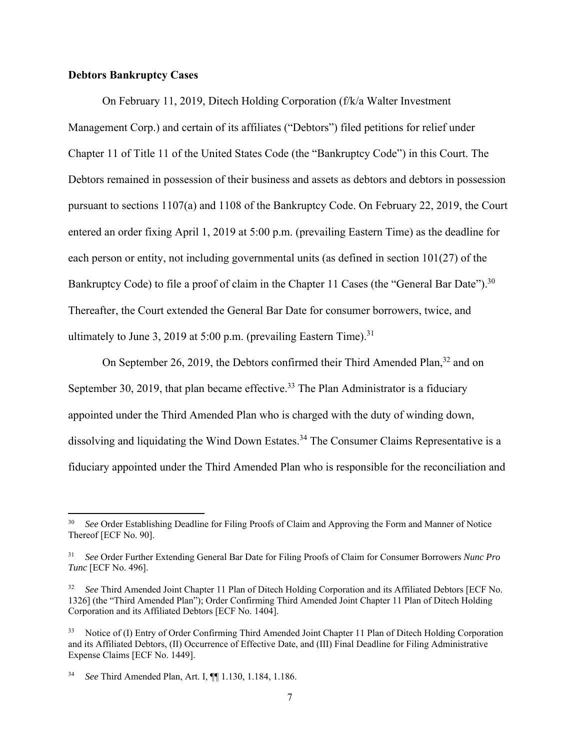### **Debtors Bankruptcy Cases**

 On February 11, 2019, Ditech Holding Corporation (f/k/a Walter Investment Management Corp.) and certain of its affiliates ("Debtors") filed petitions for relief under Chapter 11 of Title 11 of the United States Code (the "Bankruptcy Code") in this Court. The Debtors remained in possession of their business and assets as debtors and debtors in possession pursuant to sections 1107(a) and 1108 of the Bankruptcy Code. On February 22, 2019, the Court entered an order fixing April 1, 2019 at 5:00 p.m. (prevailing Eastern Time) as the deadline for each person or entity, not including governmental units (as defined in section 101(27) of the Bankruptcy Code) to file a proof of claim in the Chapter 11 Cases (the "General Bar Date").<sup>30</sup> Thereafter, the Court extended the General Bar Date for consumer borrowers, twice, and ultimately to June 3, 2019 at 5:00 p.m. (prevailing Eastern Time).<sup>31</sup>

On September 26, 2019, the Debtors confirmed their Third Amended Plan,  $32$  and on September 30, 2019, that plan became effective.<sup>33</sup> The Plan Administrator is a fiduciary appointed under the Third Amended Plan who is charged with the duty of winding down, dissolving and liquidating the Wind Down Estates.<sup>34</sup> The Consumer Claims Representative is a fiduciary appointed under the Third Amended Plan who is responsible for the reconciliation and

<sup>30</sup> *See* Order Establishing Deadline for Filing Proofs of Claim and Approving the Form and Manner of Notice Thereof [ECF No. 90].

<sup>31</sup> *See* Order Further Extending General Bar Date for Filing Proofs of Claim for Consumer Borrowers *Nunc Pro Tunc* [ECF No. 496].

<sup>32</sup> *See* Third Amended Joint Chapter 11 Plan of Ditech Holding Corporation and its Affiliated Debtors [ECF No. 1326] (the "Third Amended Plan"); Order Confirming Third Amended Joint Chapter 11 Plan of Ditech Holding Corporation and its Affiliated Debtors [ECF No. 1404].

<sup>&</sup>lt;sup>33</sup> Notice of (I) Entry of Order Confirming Third Amended Joint Chapter 11 Plan of Ditech Holding Corporation and its Affiliated Debtors, (II) Occurrence of Effective Date, and (III) Final Deadline for Filing Administrative Expense Claims [ECF No. 1449].

<sup>34</sup> *See* Third Amended Plan, Art. I, ¶¶ 1.130, 1.184, 1.186.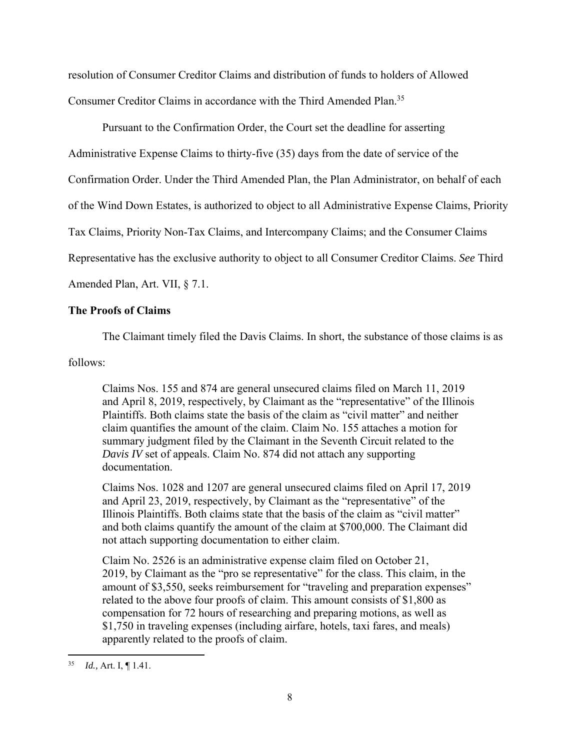resolution of Consumer Creditor Claims and distribution of funds to holders of Allowed Consumer Creditor Claims in accordance with the Third Amended Plan.<sup>35</sup>

 Pursuant to the Confirmation Order, the Court set the deadline for asserting Administrative Expense Claims to thirty-five (35) days from the date of service of the Confirmation Order. Under the Third Amended Plan, the Plan Administrator, on behalf of each of the Wind Down Estates, is authorized to object to all Administrative Expense Claims, Priority Tax Claims, Priority Non-Tax Claims, and Intercompany Claims; and the Consumer Claims Representative has the exclusive authority to object to all Consumer Creditor Claims. *See* Third Amended Plan, Art. VII, § 7.1.

## **The Proofs of Claims**

The Claimant timely filed the Davis Claims. In short, the substance of those claims is as

follows:

Claims Nos. 155 and 874 are general unsecured claims filed on March 11, 2019 and April 8, 2019, respectively, by Claimant as the "representative" of the Illinois Plaintiffs. Both claims state the basis of the claim as "civil matter" and neither claim quantifies the amount of the claim. Claim No. 155 attaches a motion for summary judgment filed by the Claimant in the Seventh Circuit related to the *Davis IV* set of appeals. Claim No. 874 did not attach any supporting documentation.

Claims Nos. 1028 and 1207 are general unsecured claims filed on April 17, 2019 and April 23, 2019, respectively, by Claimant as the "representative" of the Illinois Plaintiffs. Both claims state that the basis of the claim as "civil matter" and both claims quantify the amount of the claim at \$700,000. The Claimant did not attach supporting documentation to either claim.

Claim No. 2526 is an administrative expense claim filed on October 21, 2019, by Claimant as the "pro se representative" for the class. This claim, in the amount of \$3,550, seeks reimbursement for "traveling and preparation expenses" related to the above four proofs of claim. This amount consists of \$1,800 as compensation for 72 hours of researching and preparing motions, as well as \$1,750 in traveling expenses (including airfare, hotels, taxi fares, and meals) apparently related to the proofs of claim.

<sup>35</sup> *Id.,* Art. I, ¶ 1.41.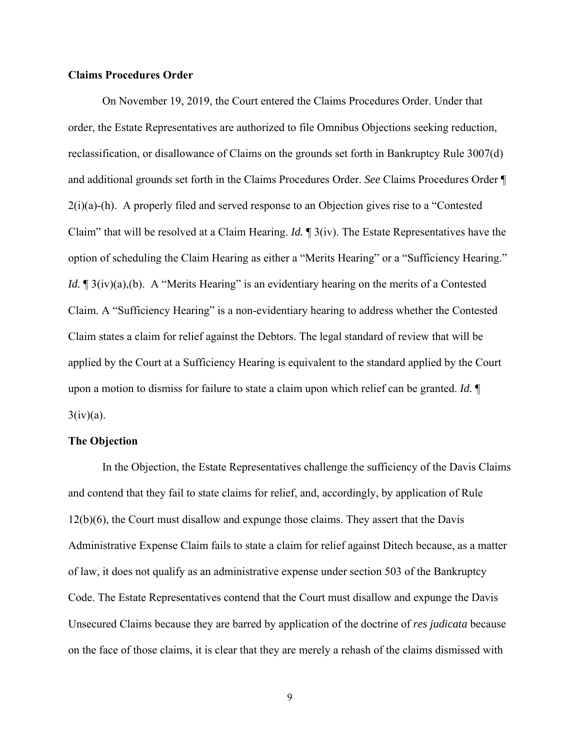#### **Claims Procedures Order**

 On November 19, 2019, the Court entered the Claims Procedures Order. Under that order, the Estate Representatives are authorized to file Omnibus Objections seeking reduction, reclassification, or disallowance of Claims on the grounds set forth in Bankruptcy Rule 3007(d) and additional grounds set forth in the Claims Procedures Order. *See* Claims Procedures Order ¶  $2(i)(a)-(h)$ . A properly filed and served response to an Objection gives rise to a "Contested Claim" that will be resolved at a Claim Hearing. *Id.* ¶ 3(iv). The Estate Representatives have the option of scheduling the Claim Hearing as either a "Merits Hearing" or a "Sufficiency Hearing." *Id.*  $\mathbb{I}$  3(iv)(a),(b). A "Merits Hearing" is an evidentiary hearing on the merits of a Contested Claim. A "Sufficiency Hearing" is a non-evidentiary hearing to address whether the Contested Claim states a claim for relief against the Debtors. The legal standard of review that will be applied by the Court at a Sufficiency Hearing is equivalent to the standard applied by the Court upon a motion to dismiss for failure to state a claim upon which relief can be granted. *Id.* ¶  $3(iv)(a)$ .

#### **The Objection**

 In the Objection, the Estate Representatives challenge the sufficiency of the Davis Claims and contend that they fail to state claims for relief, and, accordingly, by application of Rule 12(b)(6), the Court must disallow and expunge those claims. They assert that the Davis Administrative Expense Claim fails to state a claim for relief against Ditech because, as a matter of law, it does not qualify as an administrative expense under section 503 of the Bankruptcy Code. The Estate Representatives contend that the Court must disallow and expunge the Davis Unsecured Claims because they are barred by application of the doctrine of *res judicata* because on the face of those claims, it is clear that they are merely a rehash of the claims dismissed with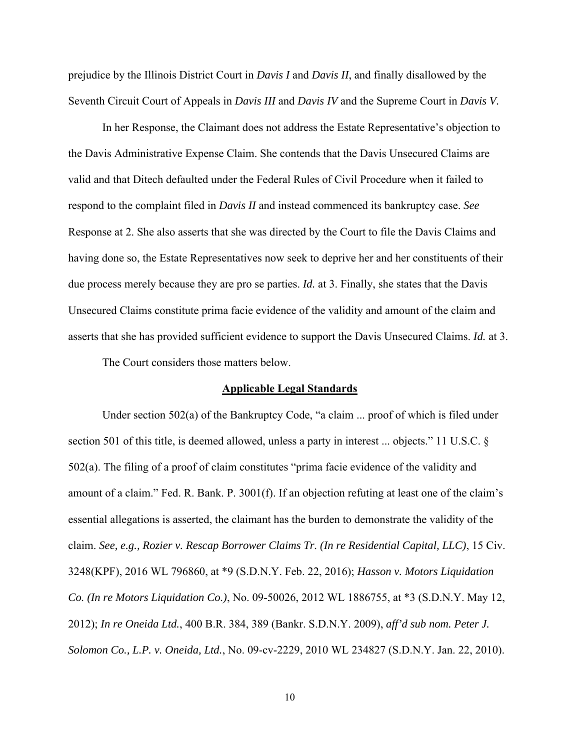prejudice by the Illinois District Court in *Davis I* and *Davis II*, and finally disallowed by the Seventh Circuit Court of Appeals in *Davis III* and *Davis IV* and the Supreme Court in *Davis V.*

 In her Response, the Claimant does not address the Estate Representative's objection to the Davis Administrative Expense Claim. She contends that the Davis Unsecured Claims are valid and that Ditech defaulted under the Federal Rules of Civil Procedure when it failed to respond to the complaint filed in *Davis II* and instead commenced its bankruptcy case. *See*  Response at 2. She also asserts that she was directed by the Court to file the Davis Claims and having done so, the Estate Representatives now seek to deprive her and her constituents of their due process merely because they are pro se parties. *Id.* at 3. Finally, she states that the Davis Unsecured Claims constitute prima facie evidence of the validity and amount of the claim and asserts that she has provided sufficient evidence to support the Davis Unsecured Claims. *Id.* at 3.

The Court considers those matters below.

#### **Applicable Legal Standards**

 Under section 502(a) of the Bankruptcy Code, "a claim ... proof of which is filed under section 501 of this title, is deemed allowed, unless a party in interest ... objects." 11 U.S.C. § 502(a). The filing of a proof of claim constitutes "prima facie evidence of the validity and amount of a claim." Fed. R. Bank. P. 3001(f). If an objection refuting at least one of the claim's essential allegations is asserted, the claimant has the burden to demonstrate the validity of the claim. *See, e.g., Rozier v. Rescap Borrower Claims Tr. (In re Residential Capital, LLC)*, 15 Civ. 3248(KPF), 2016 WL 796860, at \*9 (S.D.N.Y. Feb. 22, 2016); *Hasson v. Motors Liquidation Co. (In re Motors Liquidation Co.)*, No. 09-50026, 2012 WL 1886755, at \*3 (S.D.N.Y. May 12, 2012); *In re Oneida Ltd.*, 400 B.R. 384, 389 (Bankr. S.D.N.Y. 2009), *aff'd sub nom. Peter J. Solomon Co., L.P. v. Oneida, Ltd.*, No. 09-cv-2229, 2010 WL 234827 (S.D.N.Y. Jan. 22, 2010).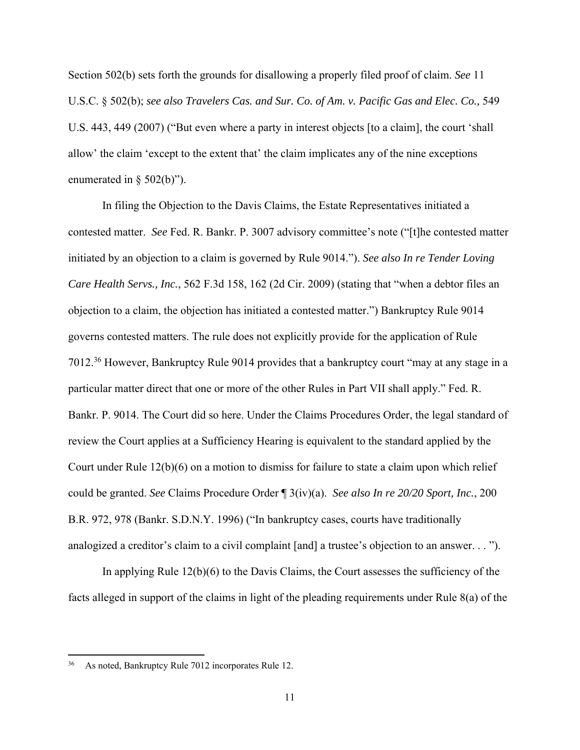Section 502(b) sets forth the grounds for disallowing a properly filed proof of claim. *See* 11 U.S.C. § 502(b); *see also Travelers Cas. and Sur. Co. of Am. v. Pacific Gas and Elec. Co.,* 549 U.S. 443, 449 (2007) ("But even where a party in interest objects [to a claim], the court 'shall allow' the claim 'except to the extent that' the claim implicates any of the nine exceptions enumerated in § 502(b)").

 In filing the Objection to the Davis Claims, the Estate Representatives initiated a contested matter. *See* Fed. R. Bankr. P. 3007 advisory committee's note ("[t]he contested matter initiated by an objection to a claim is governed by Rule 9014."). *See also In re Tender Loving Care Health Servs., Inc.*, 562 F.3d 158, 162 (2d Cir. 2009) (stating that "when a debtor files an objection to a claim, the objection has initiated a contested matter.") Bankruptcy Rule 9014 governs contested matters. The rule does not explicitly provide for the application of Rule 7012.36 However, Bankruptcy Rule 9014 provides that a bankruptcy court "may at any stage in a particular matter direct that one or more of the other Rules in Part VII shall apply." Fed. R. Bankr. P. 9014. The Court did so here. Under the Claims Procedures Order, the legal standard of review the Court applies at a Sufficiency Hearing is equivalent to the standard applied by the Court under Rule 12(b)(6) on a motion to dismiss for failure to state a claim upon which relief could be granted. *See* Claims Procedure Order ¶ 3(iv)(a). *See also In re 20/20 Sport, Inc.*, 200 B.R. 972, 978 (Bankr. S.D.N.Y. 1996) ("In bankruptcy cases, courts have traditionally analogized a creditor's claim to a civil complaint [and] a trustee's objection to an answer. . . ").

 In applying Rule 12(b)(6) to the Davis Claims, the Court assesses the sufficiency of the facts alleged in support of the claims in light of the pleading requirements under Rule 8(a) of the

<sup>36</sup> As noted, Bankruptcy Rule 7012 incorporates Rule 12.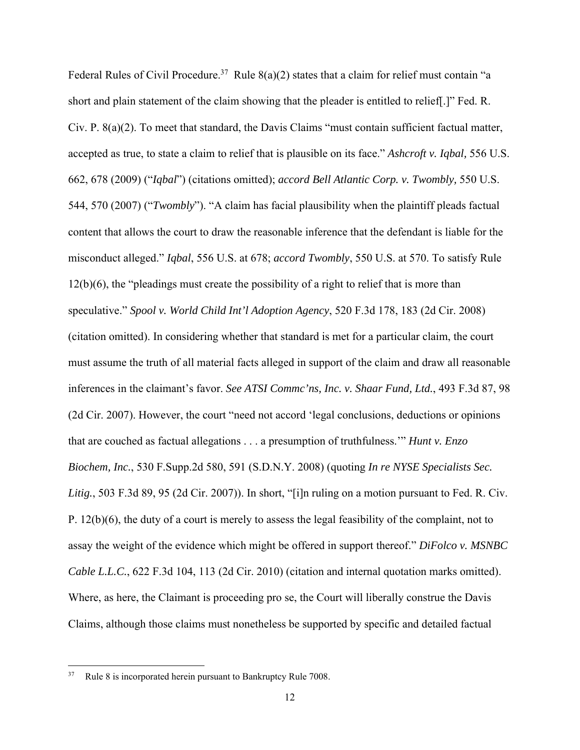Federal Rules of Civil Procedure.<sup>37</sup> Rule  $8(a)(2)$  states that a claim for relief must contain "a short and plain statement of the claim showing that the pleader is entitled to relief[.]" Fed. R. Civ. P. 8(a)(2). To meet that standard, the Davis Claims "must contain sufficient factual matter, accepted as true, to state a claim to relief that is plausible on its face." *Ashcroft v. Iqbal,* 556 U.S. 662, 678 (2009) ("*Iqbal*") (citations omitted); *accord Bell Atlantic Corp. v. Twombly,* 550 U.S. 544, 570 (2007) ("*Twombly*"). "A claim has facial plausibility when the plaintiff pleads factual content that allows the court to draw the reasonable inference that the defendant is liable for the misconduct alleged." *Iqbal*, 556 U.S. at 678; *accord Twombly*, 550 U.S. at 570. To satisfy Rule 12(b)(6), the "pleadings must create the possibility of a right to relief that is more than speculative." *Spool v. World Child Int'l Adoption Agency*, 520 F.3d 178, 183 (2d Cir. 2008) (citation omitted). In considering whether that standard is met for a particular claim, the court must assume the truth of all material facts alleged in support of the claim and draw all reasonable inferences in the claimant's favor. *See ATSI Commc'ns, Inc. v. Shaar Fund, Ltd.*, 493 F.3d 87, 98 (2d Cir. 2007). However, the court "need not accord 'legal conclusions, deductions or opinions that are couched as factual allegations . . . a presumption of truthfulness.'" *Hunt v. Enzo Biochem, Inc.*, 530 F.Supp.2d 580, 591 (S.D.N.Y. 2008) (quoting *In re NYSE Specialists Sec. Litig.*, 503 F.3d 89, 95 (2d Cir. 2007)). In short, "[i]n ruling on a motion pursuant to Fed. R. Civ. P. 12(b)(6), the duty of a court is merely to assess the legal feasibility of the complaint, not to assay the weight of the evidence which might be offered in support thereof." *DiFolco v. MSNBC Cable L.L.C.*, 622 F.3d 104, 113 (2d Cir. 2010) (citation and internal quotation marks omitted). Where, as here, the Claimant is proceeding pro se, the Court will liberally construe the Davis Claims, although those claims must nonetheless be supported by specific and detailed factual

<sup>37</sup> Rule 8 is incorporated herein pursuant to Bankruptcy Rule 7008.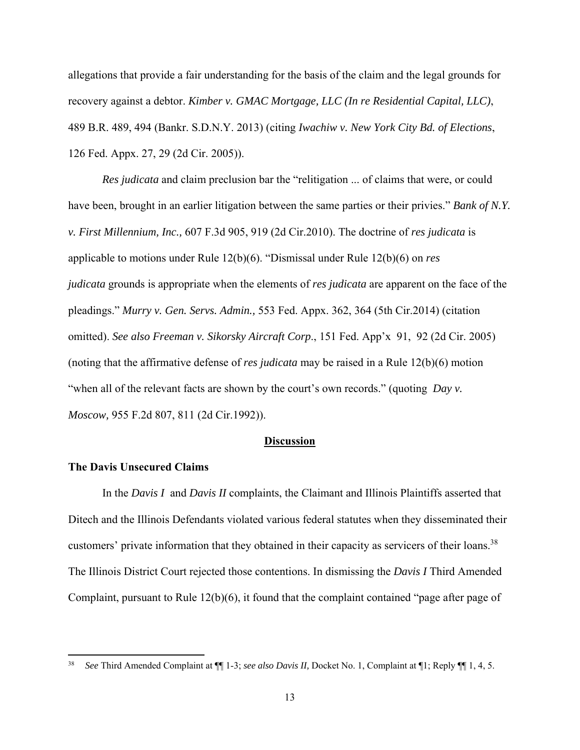allegations that provide a fair understanding for the basis of the claim and the legal grounds for recovery against a debtor. *Kimber v. GMAC Mortgage, LLC (In re Residential Capital, LLC)*, 489 B.R. 489, 494 (Bankr. S.D.N.Y. 2013) (citing *Iwachiw v. New York City Bd. of Elections*, 126 Fed. Appx. 27, 29 (2d Cir. 2005)).

*Res judicata* and claim preclusion bar the "relitigation ... of claims that were, or could have been, brought in an earlier litigation between the same parties or their privies." *Bank of N.Y. v. First Millennium, Inc.,* 607 F.3d 905, 919 (2d Cir.2010). The doctrine of *res judicata* is applicable to motions under Rule 12(b)(6). "Dismissal under Rule 12(b)(6) on *res judicata* grounds is appropriate when the elements of *res judicata* are apparent on the face of the pleadings." *Murry v. Gen. Servs. Admin.,* 553 Fed. Appx. 362, 364 (5th Cir.2014) (citation omitted). *See also Freeman v. Sikorsky Aircraft Corp*., 151 Fed. App'x 91, 92 (2d Cir. 2005) (noting that the affirmative defense of *res judicata* may be raised in a Rule 12(b)(6) motion "when all of the relevant facts are shown by the court's own records." (quoting *Day v. Moscow,* 955 F.2d 807, 811 (2d Cir.1992)).

#### **Discussion**

### **The Davis Unsecured Claims**

 In the *Davis I* and *Davis II* complaints, the Claimant and Illinois Plaintiffs asserted that Ditech and the Illinois Defendants violated various federal statutes when they disseminated their customers' private information that they obtained in their capacity as servicers of their loans.<sup>38</sup> The Illinois District Court rejected those contentions. In dismissing the *Davis I* Third Amended Complaint, pursuant to Rule 12(b)(6), it found that the complaint contained "page after page of

<sup>38</sup> *See* Third Amended Complaint at ¶¶ 1-3; *see also Davis II,* Docket No. 1, Complaint at ¶1; Reply ¶¶ 1, 4, 5.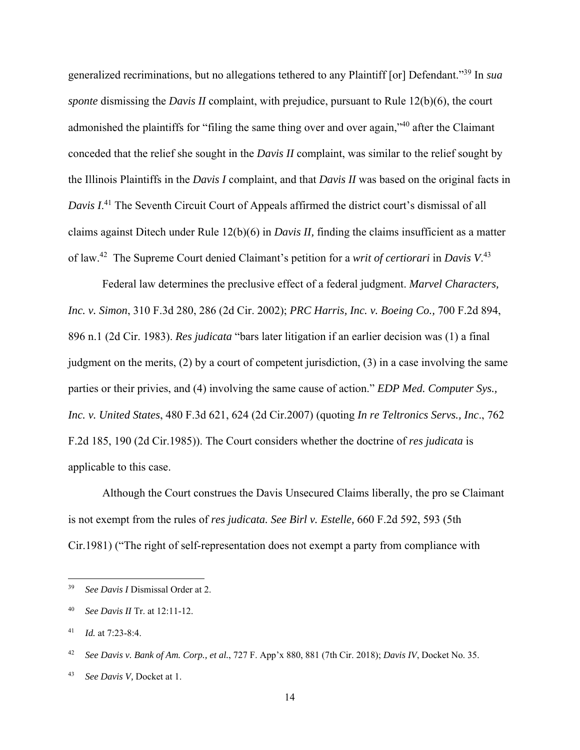generalized recriminations, but no allegations tethered to any Plaintiff [or] Defendant."39 In *sua sponte* dismissing the *Davis II* complaint, with prejudice, pursuant to Rule 12(b)(6), the court admonished the plaintiffs for "filing the same thing over and over again,"<sup>40</sup> after the Claimant conceded that the relief she sought in the *Davis II* complaint, was similar to the relief sought by the Illinois Plaintiffs in the *Davis I* complaint, and that *Davis II* was based on the original facts in *Davis I*. 41 The Seventh Circuit Court of Appeals affirmed the district court's dismissal of all claims against Ditech under Rule 12(b)(6) in *Davis II,* finding the claims insufficient as a matter of law.42 The Supreme Court denied Claimant's petition for a *writ of certiorari* in *Davis V*. 43

Federal law determines the preclusive effect of a federal judgment. *Marvel Characters, Inc. v. Simon*, 310 F.3d 280, 286 (2d Cir. 2002); *PRC Harris, Inc. v. Boeing Co.,* 700 F.2d 894, 896 n.1 (2d Cir. 1983). *Res judicata* "bars later litigation if an earlier decision was (1) a final judgment on the merits,  $(2)$  by a court of competent jurisdiction,  $(3)$  in a case involving the same parties or their privies, and (4) involving the same cause of action." *EDP Med. Computer Sys., Inc. v. United States*, 480 F.3d 621, 624 (2d Cir.2007) (quoting *In re Teltronics Servs., Inc*., 762 F.2d 185, 190 (2d Cir.1985)). The Court considers whether the doctrine of *res judicata* is applicable to this case.

 Although the Court construes the Davis Unsecured Claims liberally, the pro se Claimant is not exempt from the rules of *res judicata. See Birl v. Estelle,* 660 F.2d 592, 593 (5th Cir.1981) ("The right of self-representation does not exempt a party from compliance with

<sup>39</sup> *See Davis I* Dismissal Order at 2.

<sup>40</sup> *See Davis II* Tr. at 12:11-12.

<sup>41</sup> *Id.* at 7:23-8:4.

<sup>42</sup> *See Davis v. Bank of Am. Corp., et al.*, 727 F. App'x 880, 881 (7th Cir. 2018); *Davis IV*, Docket No. 35.

<sup>43</sup> *See Davis V,* Docket at 1.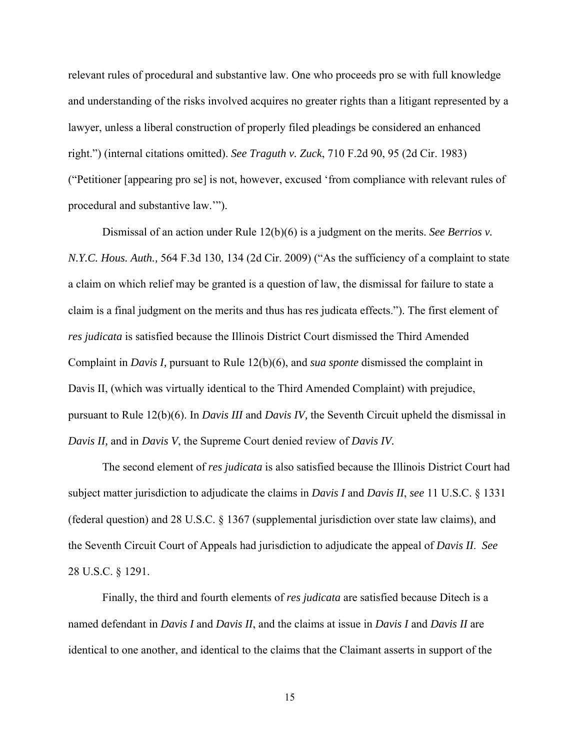relevant rules of procedural and substantive law. One who proceeds pro se with full knowledge and understanding of the risks involved acquires no greater rights than a litigant represented by a lawyer, unless a liberal construction of properly filed pleadings be considered an enhanced right.") (internal citations omitted). *See Traguth v. Zuck*, 710 F.2d 90, 95 (2d Cir. 1983) ("Petitioner [appearing pro se] is not, however, excused 'from compliance with relevant rules of procedural and substantive law.'").

 Dismissal of an action under Rule 12(b)(6) is a judgment on the merits. *See Berrios v. N.Y.C. Hous. Auth.,* 564 F.3d 130, 134 (2d Cir. 2009) ("As the sufficiency of a complaint to state a claim on which relief may be granted is a question of law, the dismissal for failure to state a claim is a final judgment on the merits and thus has res judicata effects."). The first element of *res judicata* is satisfied because the Illinois District Court dismissed the Third Amended Complaint in *Davis I,* pursuant to Rule 12(b)(6), and *sua sponte* dismissed the complaint in Davis II, (which was virtually identical to the Third Amended Complaint) with prejudice, pursuant to Rule 12(b)(6). In *Davis III* and *Davis IV,* the Seventh Circuit upheld the dismissal in *Davis II,* and in *Davis V*, the Supreme Court denied review of *Davis IV.*

 The second element of *res judicata* is also satisfied because the Illinois District Court had subject matter jurisdiction to adjudicate the claims in *Davis I* and *Davis II*, *see* 11 U.S.C. § 1331 (federal question) and 28 U.S.C. § 1367 (supplemental jurisdiction over state law claims), and the Seventh Circuit Court of Appeals had jurisdiction to adjudicate the appeal of *Davis II*. *See*  28 U.S.C. § 1291.

 Finally, the third and fourth elements of *res judicata* are satisfied because Ditech is a named defendant in *Davis I* and *Davis II*, and the claims at issue in *Davis I* and *Davis II* are identical to one another, and identical to the claims that the Claimant asserts in support of the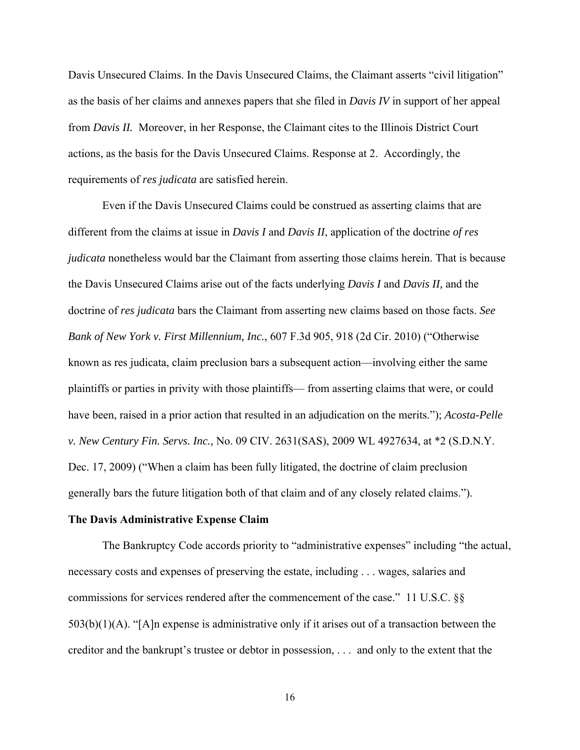Davis Unsecured Claims. In the Davis Unsecured Claims, the Claimant asserts "civil litigation" as the basis of her claims and annexes papers that she filed in *Davis IV* in support of her appeal from *Davis II.* Moreover, in her Response, the Claimant cites to the Illinois District Court actions, as the basis for the Davis Unsecured Claims. Response at 2. Accordingly, the requirements of *res judicata* are satisfied herein.

 Even if the Davis Unsecured Claims could be construed as asserting claims that are different from the claims at issue in *Davis I* and *Davis II*, application of the doctrine *of res judicata* nonetheless would bar the Claimant from asserting those claims herein. That is because the Davis Unsecured Claims arise out of the facts underlying *Davis I* and *Davis II,* and the doctrine of *res judicata* bars the Claimant from asserting new claims based on those facts. *See Bank of New York v. First Millennium, Inc.*, 607 F.3d 905, 918 (2d Cir. 2010) ("Otherwise known as res judicata, claim preclusion bars a subsequent action—involving either the same plaintiffs or parties in privity with those plaintiffs— from asserting claims that were, or could have been, raised in a prior action that resulted in an adjudication on the merits."); *Acosta-Pelle v. New Century Fin. Servs. Inc.,* No. 09 CIV. 2631(SAS), 2009 WL 4927634, at \*2 (S.D.N.Y. Dec. 17, 2009) ("When a claim has been fully litigated, the doctrine of claim preclusion generally bars the future litigation both of that claim and of any closely related claims.").

#### **The Davis Administrative Expense Claim**

 The Bankruptcy Code accords priority to "administrative expenses" including "the actual, necessary costs and expenses of preserving the estate, including . . . wages, salaries and commissions for services rendered after the commencement of the case." 11 U.S.C. §§  $503(b)(1)(A)$ . "[A]n expense is administrative only if it arises out of a transaction between the creditor and the bankrupt's trustee or debtor in possession, . . . and only to the extent that the

16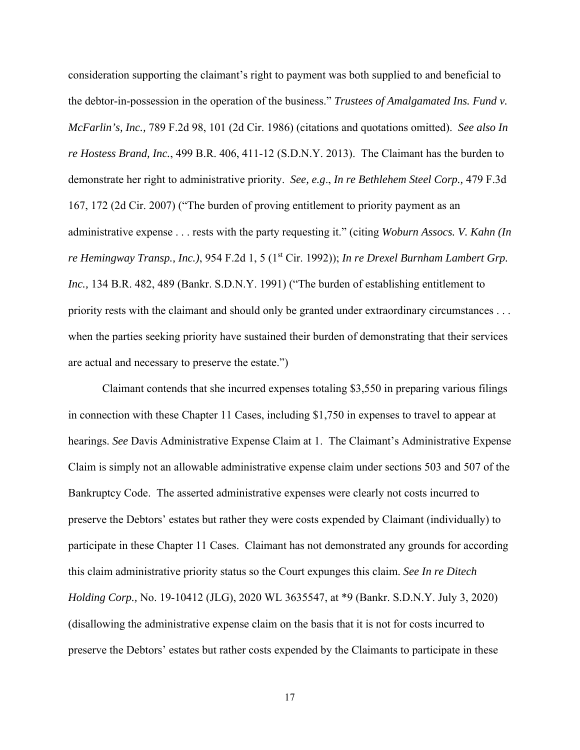consideration supporting the claimant's right to payment was both supplied to and beneficial to the debtor-in-possession in the operation of the business." *Trustees of Amalgamated Ins. Fund v. McFarlin's, Inc.,* 789 F.2d 98, 101 (2d Cir. 1986) (citations and quotations omitted). *See also In re Hostess Brand, Inc.*, 499 B.R. 406, 411-12 (S.D.N.Y. 2013). The Claimant has the burden to demonstrate her right to administrative priority. *See, e.g*., *In re Bethlehem Steel Corp.,* 479 F.3d 167, 172 (2d Cir. 2007) ("The burden of proving entitlement to priority payment as an administrative expense . . . rests with the party requesting it." (citing *Woburn Assocs. V. Kahn (In re Hemingway Transp., Inc.)*, 954 F.2d 1, 5 (1st Cir. 1992)); *In re Drexel Burnham Lambert Grp. Inc.,* 134 B.R. 482, 489 (Bankr. S.D.N.Y. 1991) ("The burden of establishing entitlement to priority rests with the claimant and should only be granted under extraordinary circumstances . . . when the parties seeking priority have sustained their burden of demonstrating that their services are actual and necessary to preserve the estate.")

 Claimant contends that she incurred expenses totaling \$3,550 in preparing various filings in connection with these Chapter 11 Cases, including \$1,750 in expenses to travel to appear at hearings. *See* Davis Administrative Expense Claim at 1. The Claimant's Administrative Expense Claim is simply not an allowable administrative expense claim under sections 503 and 507 of the Bankruptcy Code. The asserted administrative expenses were clearly not costs incurred to preserve the Debtors' estates but rather they were costs expended by Claimant (individually) to participate in these Chapter 11 Cases. Claimant has not demonstrated any grounds for according this claim administrative priority status so the Court expunges this claim. *See In re Ditech Holding Corp.,* No. 19-10412 (JLG), 2020 WL 3635547, at \*9 (Bankr. S.D.N.Y. July 3, 2020) (disallowing the administrative expense claim on the basis that it is not for costs incurred to preserve the Debtors' estates but rather costs expended by the Claimants to participate in these